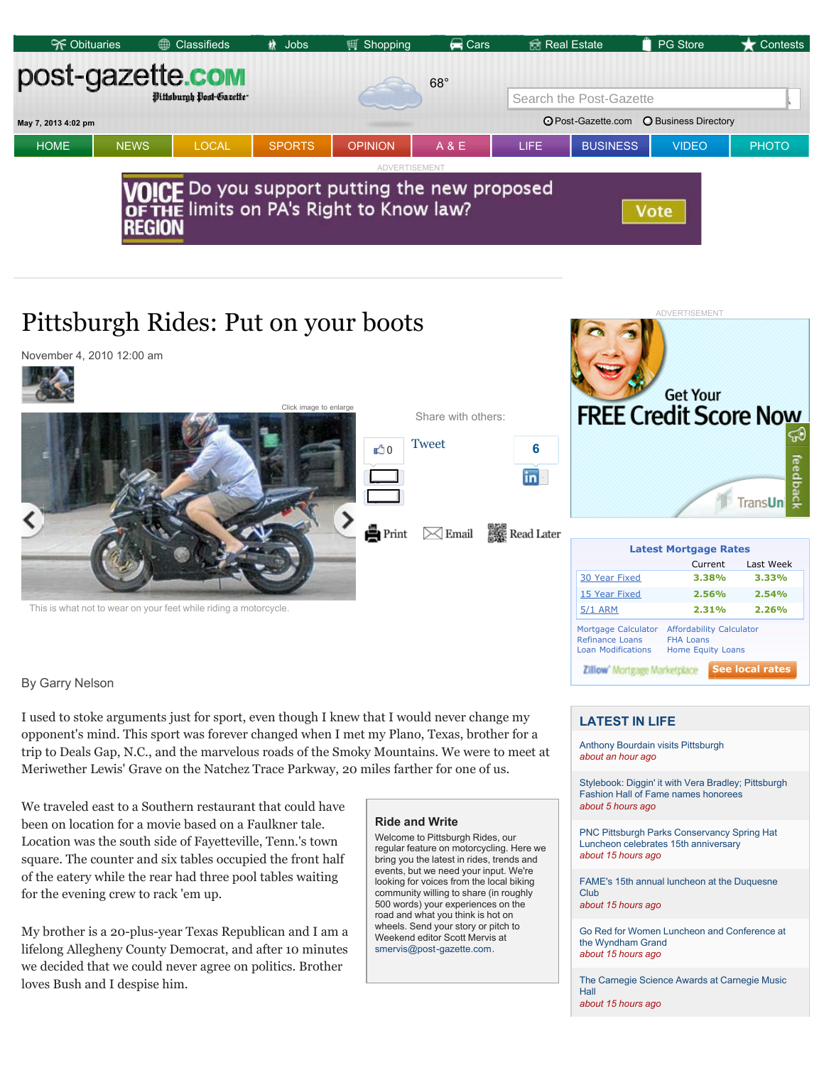

# Pittsburgh Rides: Put on your boots



By Garry Nelson

I used to stoke arguments just for sport, even though I knew that I would never change my opponent's mind. This sport was forever changed when I met my Plano, Texas, brother for a trip to Deals Gap, N.C., and the marvelous roads of the Smoky Mountains. We were to meet at Meriwether Lewis' Grave on the Natchez Trace Parkway, 20 miles farther for one of us.

We traveled east to a Southern restaurant that could have been on location for a movie based on a Faulkner tale. Location was the south side of Fayetteville, Tenn.'s town square. The counter and six tables occupied the front half of the eatery while the rear had three pool tables waiting for the evening crew to rack 'em up.

My brother is a 20-plus-year Texas Republican and I am a lifelong Allegheny County Democrat, and after 10 minutes we decided that we could never agree on politics. Brother loves Bush and I despise him.

## **Ride and Write**

Welcome to Pittsburgh Rides, our regular feature on motorcycling. Here we bring you the latest in rides, trends and events, but we need your input. We're looking for voices from the local biking community willing to share (in roughly 500 words) your experiences on the road and what you think is hot on wheels. Send your story or pitch to Weekend editor Scott Mervis at smervis@post-gazette.com.

## **LATEST IN LIFE**

**Zillow' Mortgage Marketplace** 

Refinance Loans<br>Loan Modifications

Anthony Bourdain visits Pittsburgh *about an hour ago*

Mortgage Calculator Affordability Calculator<br>Refinance Loans FHA Loans

Home Equity Loans

**See local rates**

Stylebook: Diggin' it with Vera Bradley; Pittsburgh Fashion Hall of Fame names honorees *about 5 hours ago*

DVERTISEMENT

PNC Pittsburgh Parks Conservancy Spring Hat Luncheon celebrates 15th anniversary *about 15 hours ago*

FAME's 15th annual luncheon at the Duquesne Club *about 15 hours ago*

Go Red for Women Luncheon and Conference at the Wyndham Grand *about 15 hours ago*

The Carnegie Science Awards at Carnegie Music Hall *about 15 hours ago*